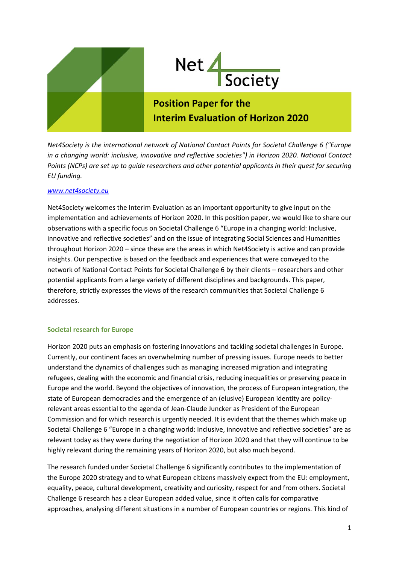

*Net4Society is the international network of National Contact Points for Societal Challenge 6 ("Europe in a changing world: inclusive, innovative and reflective societies") in Horizon 2020. National Contact Points (NCPs) are set up to guide researchers and other potential applicants in their quest for securing EU funding.* 

#### *[www.net4society.eu](http://www.net4society.eu/)*

Net4Society welcomes the Interim Evaluation as an important opportunity to give input on the implementation and achievements of Horizon 2020. In this position paper, we would like to share our observations with a specific focus on Societal Challenge 6 "Europe in a changing world: Inclusive, innovative and reflective societies" and on the issue of integrating Social Sciences and Humanities throughout Horizon 2020 – since these are the areas in which Net4Society is active and can provide insights. Our perspective is based on the feedback and experiences that were conveyed to the network of National Contact Points for Societal Challenge 6 by their clients – researchers and other potential applicants from a large variety of different disciplines and backgrounds. This paper, therefore, strictly expresses the views of the research communities that Societal Challenge 6 addresses.

#### **Societal research for Europe**

Horizon 2020 puts an emphasis on fostering innovations and tackling societal challenges in Europe. Currently, our continent faces an overwhelming number of pressing issues. Europe needs to better understand the dynamics of challenges such as managing increased migration and integrating refugees, dealing with the economic and financial crisis, reducing inequalities or preserving peace in Europe and the world. Beyond the objectives of innovation, the process of European integration, the state of European democracies and the emergence of an (elusive) European identity are policyrelevant areas essential to the agenda of Jean-Claude Juncker as President of the European Commission and for which research is urgently needed. It is evident that the themes which make up Societal Challenge 6 "Europe in a changing world: Inclusive, innovative and reflective societies" are as relevant today as they were during the negotiation of Horizon 2020 and that they will continue to be highly relevant during the remaining years of Horizon 2020, but also much beyond.

The research funded under Societal Challenge 6 significantly contributes to the implementation of the Europe 2020 strategy and to what European citizens massively expect from the EU: employment, equality, peace, cultural development, creativity and curiosity, respect for and from others. Societal Challenge 6 research has a clear European added value, since it often calls for comparative approaches, analysing different situations in a number of European countries or regions. This kind of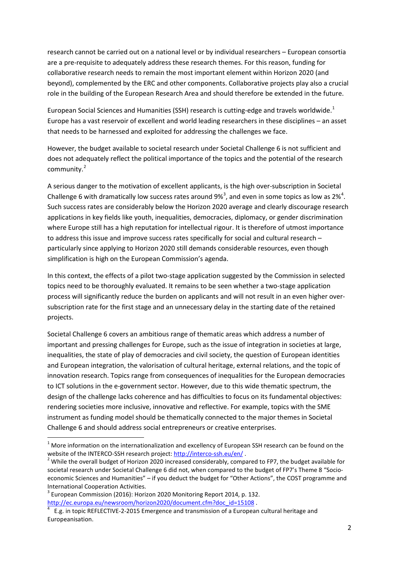research cannot be carried out on a national level or by individual researchers – European consortia are a pre-requisite to adequately address these research themes. For this reason, funding for collaborative research needs to remain the most important element within Horizon 2020 (and beyond), complemented by the ERC and other components. Collaborative projects play also a crucial role in the building of the European Research Area and should therefore be extended in the future.

European Social Sciences and Humanities (SSH) research is cutting-edge and travels worldwide.<sup>[1](#page-1-0)</sup> Europe has a vast reservoir of excellent and world leading researchers in these disciplines – an asset that needs to be harnessed and exploited for addressing the challenges we face.

However, the budget available to societal research under Societal Challenge 6 is not sufficient and does not adequately reflect the political importance of the topics and the potential of the research community.<sup>[2](#page-1-1)</sup>

A serious danger to the motivation of excellent applicants, is the high over-subscription in Societal Challenge 6 with dramatically low success rates around 9%<sup>[3](#page-1-2)</sup>, and even in some topics as low as 2%<sup>[4](#page-1-3)</sup>. Such success rates are considerably below the Horizon 2020 average and clearly discourage research applications in key fields like youth, inequalities, democracies, diplomacy, or gender discrimination where Europe still has a high reputation for intellectual rigour. It is therefore of utmost importance to address this issue and improve success rates specifically for social and cultural research – particularly since applying to Horizon 2020 still demands considerable resources, even though simplification is high on the European Commission's agenda.

In this context, the effects of a pilot two-stage application suggested by the Commission in selected topics need to be thoroughly evaluated. It remains to be seen whether a two-stage application process will significantly reduce the burden on applicants and will not result in an even higher oversubscription rate for the first stage and an unnecessary delay in the starting date of the retained projects.

Societal Challenge 6 covers an ambitious range of thematic areas which address a number of important and pressing challenges for Europe, such as the issue of integration in societies at large, inequalities, the state of play of democracies and civil society, the question of European identities and European integration, the valorisation of cultural heritage, external relations, and the topic of innovation research. Topics range from consequences of inequalities for the European democracies to ICT solutions in the e-government sector. However, due to this wide thematic spectrum, the design of the challenge lacks coherence and has difficulties to focus on its fundamental objectives: rendering societies more inclusive, innovative and reflective. For example, topics with the SME instrument as funding model should be thematically connected to the major themes in Societal Challenge 6 and should address social entrepreneurs or creative enterprises.

<span id="page-1-0"></span> $1$  More information on the internationalization and excellency of European SSH research can be found on the website of the INTERCO-SSH research project[: http://interco-ssh.eu/en/](http://interco-ssh.eu/en/) .<br><sup>2</sup> While the overall budget of Horizon 2020 increased considerably, compared to FP7, the budget available for

<span id="page-1-1"></span>societal research under Societal Challenge 6 did not, when compared to the budget of FP7's Theme 8 "Socioeconomic Sciences and Humanities" – if you deduct the budget for "Other Actions", the COST programme and International Cooperation Activities.

<span id="page-1-2"></span><sup>&</sup>lt;sup>3</sup> European Commission (2016): Horizon 2020 Monitoring Report 2014, p. 132. [http://ec.europa.eu/newsroom/horizon2020/document.cfm?doc\\_id=15108](http://ec.europa.eu/newsroom/horizon2020/document.cfm?doc_id=15108).

<span id="page-1-3"></span>E.g. in topic REFLECTIVE-2-2015 Emergence and transmission of a European cultural heritage and Europeanisation.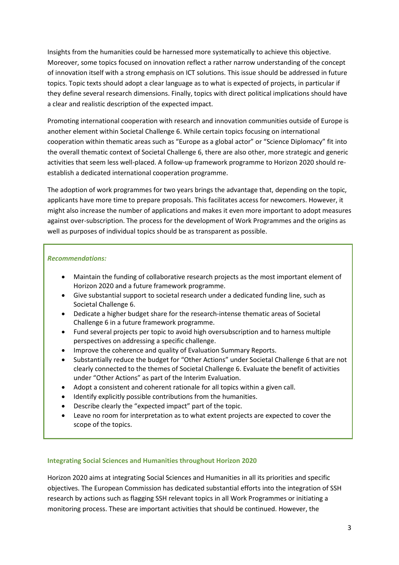Insights from the humanities could be harnessed more systematically to achieve this objective. Moreover, some topics focused on innovation reflect a rather narrow understanding of the concept of innovation itself with a strong emphasis on ICT solutions. This issue should be addressed in future topics. Topic texts should adopt a clear language as to what is expected of projects, in particular if they define several research dimensions. Finally, topics with direct political implications should have a clear and realistic description of the expected impact.

Promoting international cooperation with research and innovation communities outside of Europe is another element within Societal Challenge 6. While certain topics focusing on international cooperation within thematic areas such as "Europe as a global actor" or "Science Diplomacy" fit into the overall thematic context of Societal Challenge 6, there are also other, more strategic and generic activities that seem less well-placed. A follow-up framework programme to Horizon 2020 should reestablish a dedicated international cooperation programme.

The adoption of work programmes for two years brings the advantage that, depending on the topic, applicants have more time to prepare proposals. This facilitates access for newcomers. However, it might also increase the number of applications and makes it even more important to adopt measures against over-subscription. The process for the development of Work Programmes and the origins as well as purposes of individual topics should be as transparent as possible.

### *Recommendations:*

- Maintain the funding of collaborative research projects as the most important element of Horizon 2020 and a future framework programme.
- Give substantial support to societal research under a dedicated funding line, such as Societal Challenge 6.
- Dedicate a higher budget share for the research-intense thematic areas of Societal Challenge 6 in a future framework programme.
- Fund several projects per topic to avoid high oversubscription and to harness multiple perspectives on addressing a specific challenge.
- Improve the coherence and quality of Evaluation Summary Reports.
- Substantially reduce the budget for "Other Actions" under Societal Challenge 6 that are not clearly connected to the themes of Societal Challenge 6. Evaluate the benefit of activities under "Other Actions" as part of the Interim Evaluation.
- Adopt a consistent and coherent rationale for all topics within a given call.
- Identify explicitly possible contributions from the humanities.
- Describe clearly the "expected impact" part of the topic.
- Leave no room for interpretation as to what extent projects are expected to cover the scope of the topics.

#### **Integrating Social Sciences and Humanities throughout Horizon 2020**

Horizon 2020 aims at integrating Social Sciences and Humanities in all its priorities and specific objectives. The European Commission has dedicated substantial efforts into the integration of SSH research by actions such as flagging SSH relevant topics in all Work Programmes or initiating a monitoring process. These are important activities that should be continued. However, the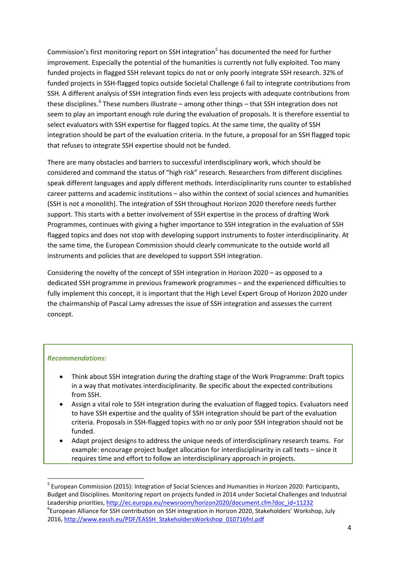Commission's first monitoring report on SSH integration<sup>[5](#page-3-0)</sup> has documented the need for further improvement. Especially the potential of the humanities is currently not fully exploited. Too many funded projects in flagged SSH relevant topics do not or only poorly integrate SSH research. 32% of funded projects in SSH-flagged topics outside Societal Challenge 6 fail to integrate contributions from SSH. A different analysis of SSH integration finds even less projects with adequate contributions from these disciplines.<sup>[6](#page-3-1)</sup> These numbers illustrate – among other things – that SSH integration does not seem to play an important enough role during the evaluation of proposals. It is therefore essential to select evaluators with SSH expertise for flagged topics. At the same time, the quality of SSH integration should be part of the evaluation criteria. In the future, a proposal for an SSH flagged topic that refuses to integrate SSH expertise should not be funded.

There are many obstacles and barriers to successful interdisciplinary work, which should be considered and command the status of "high risk" research. Researchers from different disciplines speak different languages and apply different methods. Interdisciplinarity runs counter to established career patterns and academic institutions – also within the context of social sciences and humanities (SSH is not a monolith). The integration of SSH throughout Horizon 2020 therefore needs further support. This starts with a better involvement of SSH expertise in the process of drafting Work Programmes, continues with giving a higher importance to SSH integration in the evaluation of SSH flagged topics and does not stop with developing support instruments to foster interdisciplinarity. At the same time, the European Commission should clearly communicate to the outside world all instruments and policies that are developed to support SSH integration.

Considering the novelty of the concept of SSH integration in Horizon 2020 – as opposed to a dedicated SSH programme in previous framework programmes – and the experienced difficulties to fully implement this concept, it is important that the High Level Expert Group of Horizon 2020 under the chairmanship of Pascal Lamy adresses the issue of SSH integration and assesses the current concept.

#### *Recommendations:*

- Think about SSH integration during the drafting stage of the Work Programme: Draft topics in a way that motivates interdisciplinarity. Be specific about the expected contributions from SSH.
- Assign a vital role to SSH integration during the evaluation of flagged topics. Evaluators need to have SSH expertise and the quality of SSH integration should be part of the evaluation criteria. Proposals in SSH-flagged topics with no or only poor SSH integration should not be funded.
- Adapt project designs to address the unique needs of interdisciplinary research teams. For example: encourage project budget allocation for interdisciplinarity in call texts – since it requires time and effort to follow an interdisciplinary approach in projects.

<span id="page-3-1"></span><span id="page-3-0"></span> <sup>5</sup> European Commission (2015): Integration of Social Sciences and Humanities in Horizon 2020: Participants, Budget and Disciplines. Monitoring report on projects funded in 2014 under Societal Challenges and Industrial Leadership priorities, [http://ec.europa.eu/newsroom/horizon2020/document.cfm?doc\\_id=11232](http://ec.europa.eu/newsroom/horizon2020/document.cfm?doc_id=11232) <sup>6</sup>European Alliance for SSH contribution on SSH integration in Horizon 2020, Stakeholders' Workshop, July 2016, [http://www.eassh.eu/PDF/EASSH\\_StakeholdersWorkshop\\_010716fnl.pdf](http://www.eassh.eu/PDF/EASSH_StakeholdersWorkshop_010716fnl.pdf)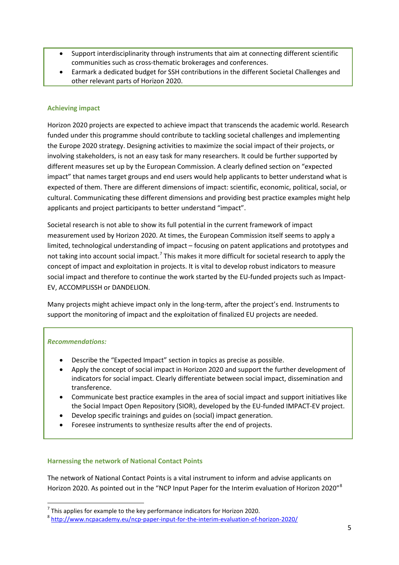- Support interdisciplinarity through instruments that aim at connecting different scientific communities such as cross-thematic brokerages and conferences.
- Earmark a dedicated budget for SSH contributions in the different Societal Challenges and other relevant parts of Horizon 2020.

## **Achieving impact**

Horizon 2020 projects are expected to achieve impact that transcends the academic world. Research funded under this programme should contribute to tackling societal challenges and implementing the Europe 2020 strategy. Designing activities to maximize the social impact of their projects, or involving stakeholders, is not an easy task for many researchers. It could be further supported by different measures set up by the European Commission. A clearly defined section on "expected impact" that names target groups and end users would help applicants to better understand what is expected of them. There are different dimensions of impact: scientific, economic, political, social, or cultural. Communicating these different dimensions and providing best practice examples might help applicants and project participants to better understand "impact".

Societal research is not able to show its full potential in the current framework of impact measurement used by Horizon 2020. At times, the European Commission itself seems to apply a limited, technological understanding of impact – focusing on patent applications and prototypes and not taking into account social impact.<sup>[7](#page-4-0)</sup> This makes it more difficult for societal research to apply the concept of impact and exploitation in projects. It is vital to develop robust indicators to measure social impact and therefore to continue the work started by the EU-funded projects such as Impact-EV, ACCOMPLISSH or DANDELION.

Many projects might achieve impact only in the long-term, after the project's end. Instruments to support the monitoring of impact and the exploitation of finalized EU projects are needed.

#### *Recommendations:*

- Describe the "Expected Impact" section in topics as precise as possible.
- Apply the concept of social impact in Horizon 2020 and support the further development of indicators for social impact. Clearly differentiate between social impact, dissemination and transference.
- Communicate best practice examples in the area of social impact and support initiatives like the Social Impact Open Repository (SIOR), developed by the EU-funded IMPACT-EV project.
- Develop specific trainings and guides on (social) impact generation.
- Foresee instruments to synthesize results after the end of projects.

#### **Harnessing the network of National Contact Points**

The network of National Contact Points is a vital instrument to inform and advise applicants on Horizon 2020. As pointed out in the "NCP Input Paper for the Interim evaluation of Horizon 2020"<sup>[8](#page-4-1)</sup>

<span id="page-4-1"></span>

<span id="page-4-0"></span><sup>&</sup>lt;sup>7</sup> This applies for example to the key performance indicators for Horizon 2020.<br><sup>8</sup> <http://www.ncpacademy.eu/ncp-paper-input-for-the-interim-evaluation-of-horizon-2020/>